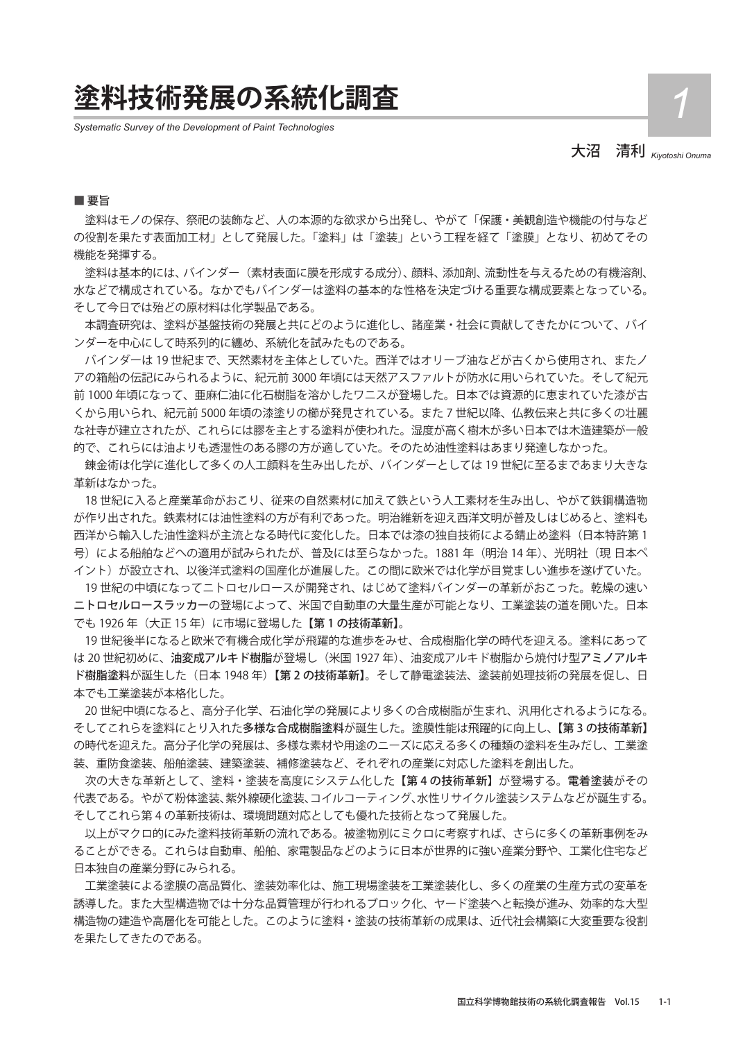## **塗料技術発展の系統化調査** *1*

*Systematic Survey of the Development of Paint Technologies*

大沼 清利 *Kiyotoshi Onuma* 

#### ■ 要旨

 塗料はモノの保存、祭祀の装飾など、人の本源的な欲求から出発し、やがて「保護・美観創造や機能の付与など の役割を果たす表面加工材」として発展した。「塗料」は「塗装」という工程を経て「塗膜」となり、初めてその 機能を発揮する。

 塗料は基本的には、バインダー(素材表面に膜を形成する成分)、顔料、添加剤、流動性を与えるための有機溶剤、 水などで構成されている。なかでもバインダーは塗料の基本的な性格を決定づける重要な構成要素となっている。 そして今日では殆どの原材料は化学製品である。

 本調査研究は、塗料が基盤技術の発展と共にどのように進化し、諸産業・社会に貢献してきたかについて、バイ ンダーを中心にして時系列的に纏め、系統化を試みたものである。

 バインダーは 19 世紀まで、天然素材を主体としていた。西洋ではオリーブ油などが古くから使用され、またノ アの箱船の伝記にみられるように、紀元前 3000 年頃には天然アスファルトが防水に用いられていた。そして紀元 前 1000 年頃になって、亜麻仁油に化石樹脂を溶かしたワニスが登場した。日本では資源的に恵まれていた漆が古 くから用いられ、紀元前 5000 年頃の漆塗りの櫛が発見されている。また 7 世紀以降、仏教伝来と共に多くの壮麗 な社寺が建立されたが、これらには膠を主とする塗料が使われた。湿度が高く樹木が多い日本では木造建築が一般 的で、これらには油よりも透湿性のある膠の方が適していた。そのため油性塗料はあまり発達しなかった。

 錬金術は化学に進化して多くの人工顔料を生み出したが、バインダーとしては 19 世紀に至るまであまり大きな 革新はなかった。

 18 世紀に入ると産業革命がおこり、従来の自然素材に加えて鉄という人工素材を生み出し、やがて鉄鋼構造物 が作り出された。鉄素材には油性塗料の方が有利であった。明治維新を迎え西洋文明が普及しはじめると、塗料も 西洋から輸入した油性塗料が主流となる時代に変化した。日本では漆の独自技術による錆止め塗料(日本特許第 1 号)による船舶などへの適用が試みられたが、普及には至らなかった。1881年 (明治 14年)、光明社(現 日本ペ イント)が設立され、以後洋式塗料の国産化が進展した。この間に欧米では化学が目覚ましい進歩を遂げていた。

 19 世紀の中頃になってニトロセルロースが開発され、はじめて塗料バインダーの革新がおこった。乾燥の速い ニトロセルロースラッカーの登場によって、米国で自動車の大量生産が可能となり、工業塗装の道を開いた。日本 でも 1926 年(大正 15 年)に市場に登場した【第 1 の技術革新】。

 19 世紀後半になると欧米で有機合成化学が飛躍的な進歩をみせ、合成樹脂化学の時代を迎える。塗料にあって は 20 世紀初めに、油変成アルキド樹脂が登場し(米国 1927 年)、油変成アルキド樹脂から焼付け型アミノアルキ ド樹脂塗料が誕生した(日本 1948 年)【第 2 の技術革新】。そして静電塗装法、塗装前処理技術の発展を促し、日 本でも工業塗装が本格化した。

 20 世紀中頃になると、高分子化学、石油化学の発展により多くの合成樹脂が生まれ、汎用化されるようになる。 そしてこれらを塗料にとり入れた多様な合成樹脂塗料が誕生した。塗膜性能は飛躍的に向上し、【第 3 の技術革新】 の時代を迎えた。高分子化学の発展は、多様な素材や用途のニーズに応える多くの種類の塗料を生みだし、工業塗 装、重防食塗装、船舶塗装、建築塗装、補修塗装など、それぞれの産業に対応した塗料を創出した。

 次の大きな革新として、塗料・塗装を高度にシステム化した【第 4 の技術革新】が登場する。電着塗装がその 代表である。やがて粉体塗装、紫外線硬化塗装、コイルコーティング、水性リサイクル塗装システムなどが誕生する。 そしてこれら第 4 の革新技術は、環境問題対応としても優れた技術となって発展した。

 以上がマクロ的にみた塗料技術革新の流れである。被塗物別にミクロに考察すれば、さらに多くの革新事例をみ ることができる。これらは自動車、船舶、家電製品などのように日本が世界的に強い産業分野や、工業化住宅など 日本独自の産業分野にみられる。

 工業塗装による塗膜の高品質化、塗装効率化は、施工現場塗装を工業塗装化し、多くの産業の生産方式の変革を 誘導した。また大型構造物では十分な品質管理が行われるブロック化、ヤード塗装へと転換が進み、効率的な大型 構造物の建造や高層化を可能とした。このように塗料・塗装の技術革新の成果は、近代社会構築に大変重要な役割 を果たしてきたのである。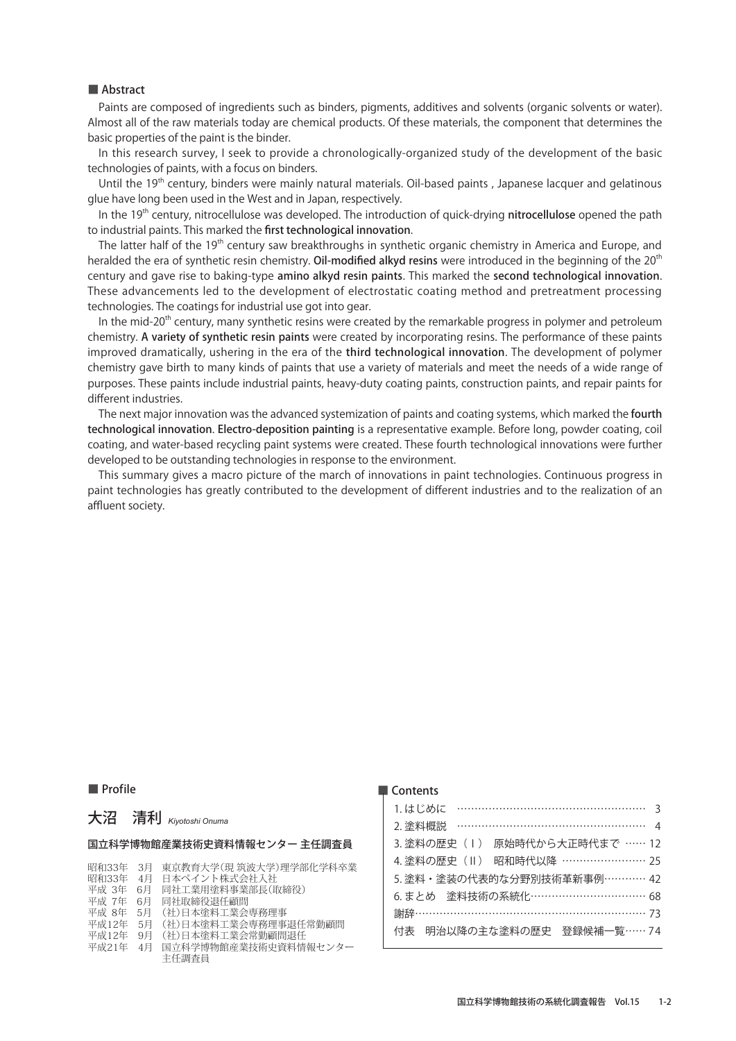Paints are composed of ingredients such as binders, pigments, additives and solvents (organic solvents or water). Almost all of the raw materials today are chemical products. Of these materials, the component that determines the basic properties of the paint is the binder.

In this research survey, I seek to provide a chronologically-organized study of the development of the basic technologies of paints, with a focus on binders.

Until the 19<sup>th</sup> century, binders were mainly natural materials. Oil-based paints, Japanese lacquer and gelatinous glue have long been used in the West and in Japan, respectively.

In the  $19<sup>th</sup>$  century, nitrocellulose was developed. The introduction of quick-drying nitrocellulose opened the path to industrial paints. This marked the first technological innovation.

The latter half of the 19<sup>th</sup> century saw breakthroughs in synthetic organic chemistry in America and Europe, and heralded the era of synthetic resin chemistry. Oil-modified alkyd resins were introduced in the beginning of the 20<sup>th</sup> century and gave rise to baking-type amino alkyd resin paints. This marked the second technological innovation. These advancements led to the development of electrostatic coating method and pretreatment processing technologies. The coatings for industrial use got into gear.

In the mid-20<sup>th</sup> century, many synthetic resins were created by the remarkable progress in polymer and petroleum chemistry. A variety of synthetic resin paints were created by incorporating resins. The performance of these paints improved dramatically, ushering in the era of the third technological innovation. The development of polymer chemistry gave birth to many kinds of paints that use a variety of materials and meet the needs of a wide range of purposes. These paints include industrial paints, heavy-duty coating paints, construction paints, and repair paints for different industries.

The next major innovation was the advanced systemization of paints and coating systems, which marked the fourth technological innovation. Electro-deposition painting is a representative example. Before long, powder coating, coil coating, and water-based recycling paint systems were created. These fourth technological innovations were further developed to be outstanding technologies in response to the environment.

This summary gives a macro picture of the march of innovations in paint technologies. Continuous progress in paint technologies has greatly contributed to the development of different industries and to the realization of an affluent society.

#### ■ Profile

#### ■ Contents

| 1.はじめに …………………………………………… 3       |
|----------------------------------|
| 2. 塗料概説                          |
| 原始時代から大正時代まで …… 12<br>3.塗料の歴史(丨) |
| 4. 塗料の歴史 (Ⅱ) 昭和時代以降 …………………… 25  |
| 5. 塗料・塗装の代表的な分野別技術革新事例………… 42    |
| 6. まとめ 塗料技術の系統化…………………………… 68    |
| 謝辞……………………………………………………… 73       |
| 明治以降の主な塗料の歴史 登録候補一覧……74<br>付表    |
|                                  |

## 大沼 清利 *Kiyotoshi Onuma*

#### 国立科学博物館産業技術史資料情報センター 主任調査員

|  | 昭和33年 3月 東京教育大学(現 筑波大学)理学部化学科卒業 |  |
|--|---------------------------------|--|
|  |                                 |  |

- 昭和33年 4月 日本ペイント株式会社入社
- 平成 3年 6月 同社工業用塗料事業部長(取締役)<br>平成 7年 6月 同社工業用塗料事業部長(取締役)
- 平成 7年 6月 同社取締役退任顧問<br>平成 8年 5月 (社)日本塗料工業会
- 平成 8年 5月 (社)日本塗料工業会専務理事<br>平成12年 5月 (社)日本塗料工業会専務理事
- 平成12年 5月 (社)日本塗料工業会専務理事退任常勤顧問<br>平成12年 9月 (社)日本塗料工業会常勤顧問退任
- (社)日本塗料工業会常勤顧問退任
- 平成21年 4月 国立科学博物館産業技術史資料情報センター 主任調査員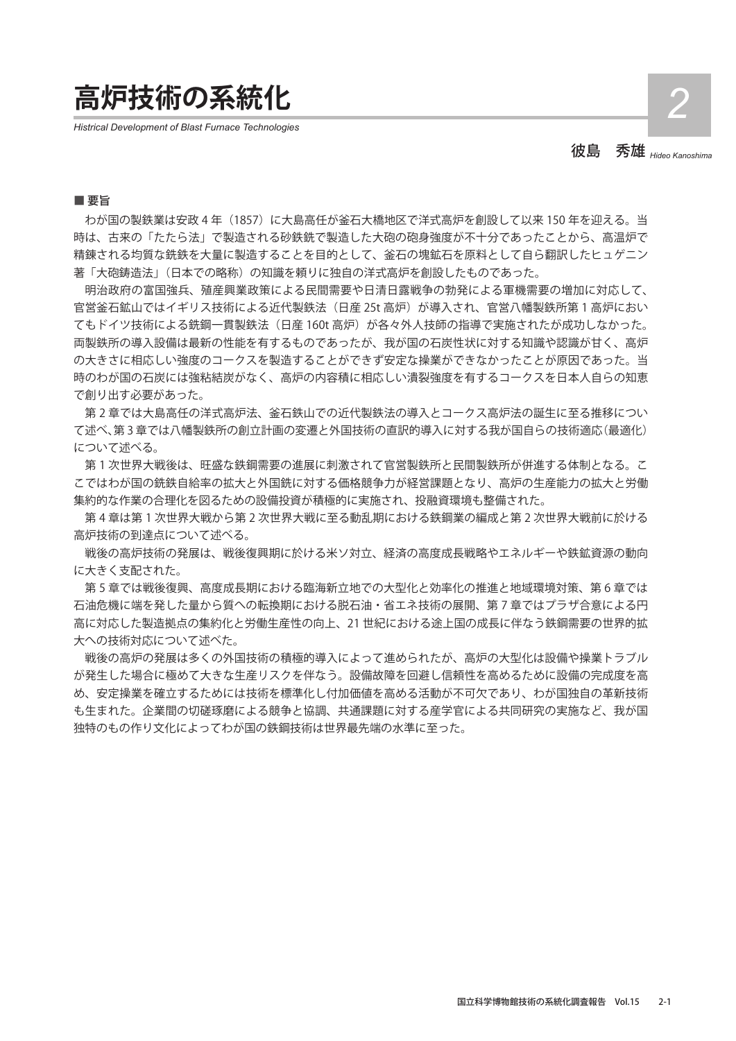**高炉技術の系統化** *2*

*Histrical Development of Blast Furnace Technologies*

彼島 秀雄 *Hideo Kanoshima*

### ■ 要旨

わが国の製鉄業は安政 4年 (1857)に大島高任が釜石大橋地区で洋式高炉を創設して以来 150年を迎える。当 時は、古来の「たたら法」で製造される砂鉄銑で製造した大砲の砲身強度が不十分であったことから、高温炉で 精錬される均質な銑鉄を大量に製造することを目的として、釜石の塊鉱石を原料として自ら翻訳したヒュゲニン 著「大砲鋳造法」(日本での略称)の知識を頼りに独自の洋式高炉を創設したものであった。

明治政府の富国強兵、殖産興業政策による民間需要や日清日露戦争の勃発による軍機需要の増加に対応して、 官営釜石鉱山ではイギリス技術による近代製鉄法(日産 25t 高炉)が導入され、官営八幡製鉄所第 1 高炉におい てもドイツ技術による銑鋼一貫製鉄法(日産 160t 高炉)が各々外人技師の指導で実施されたが成功しなかった。 両製鉄所の導入設備は最新の性能を有するものであったが、我が国の石炭性状に対する知識や認識が甘く、高炉 の大きさに相応しい強度のコークスを製造することができず安定な操業ができなかったことが原因であった。当 時のわが国の石炭には強粘結炭がなく、高炉の内容積に相応しい潰裂強度を有するコークスを日本人自らの知恵 で創り出す必要があった。

第 2 章では大島高任の洋式高炉法、釜石鉄山での近代製鉄法の導入とコークス高炉法の誕生に至る推移につい て述べ、第 3 章では八幡製鉄所の創立計画の変遷と外国技術の直訳的導入に対する我が国自らの技術適応(最適化) について述べる。

第 1 次世界大戦後は、旺盛な鉄鋼需要の進展に刺激されて官営製鉄所と民間製鉄所が併進する体制となる。こ こではわが国の銑鉄自給率の拡大と外国銑に対する価格競争力が経営課題となり、高炉の生産能力の拡大と労働 集約的な作業の合理化を図るための設備投資が積極的に実施され、投融資環境も整備された。

第 4 章は第 1 次世界大戦から第 2 次世界大戦に至る動乱期における鉄鋼業の編成と第 2 次世界大戦前に於ける 高炉技術の到達点について述べる。

戦後の高炉技術の発展は、戦後復興期に於ける米ソ対立、経済の高度成長戦略やエネルギーや鉄鉱資源の動向 に大きく支配された。

第 5 章では戦後復興、高度成長期における臨海新立地での大型化と効率化の推進と地域環境対策、第 6 章では 石油危機に端を発した量から質への転換期における脱石油・省エネ技術の展開、第 7 章ではプラザ合意による円 高に対応した製造拠点の集約化と労働生産性の向上、21 世紀における途上国の成長に伴なう鉄鋼需要の世界的拡 大への技術対応について述べた。

戦後の高炉の発展は多くの外国技術の積極的導入によって進められたが、高炉の大型化は設備や操業トラブル が発生した場合に極めて大きな生産リスクを伴なう。設備故障を回避し信頼性を高めるために設備の完成度を高 め、安定操業を確立するためには技術を標準化し付加価値を高める活動が不可欠であり、わが国独自の革新技術 も生まれた。企業間の切磋琢磨による競争と協調、共通課題に対する産学官による共同研究の実施など、我が国 独特のもの作り文化によってわが国の鉄鋼技術は世界最先端の水準に至った。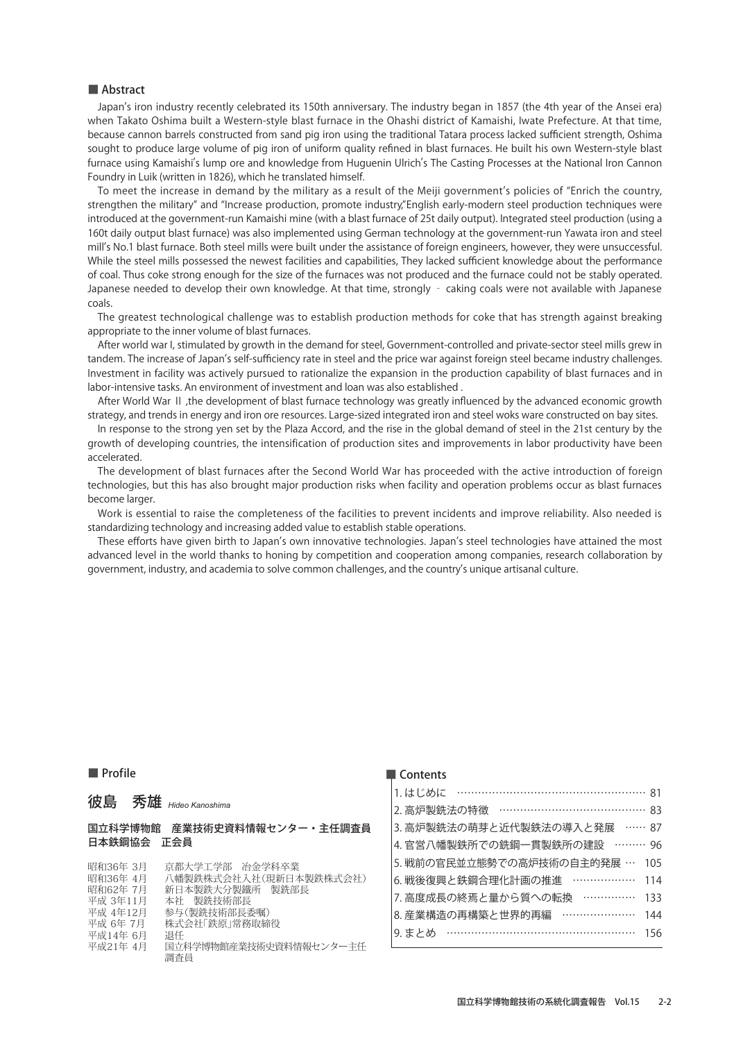Japan's iron industry recently celebrated its 150th anniversary. The industry began in 1857 (the 4th year of the Ansei era) when Takato Oshima built a Western-style blast furnace in the Ohashi district of Kamaishi, Iwate Prefecture. At that time, because cannon barrels constructed from sand pig iron using the traditional Tatara process lacked sufficient strength, Oshima sought to produce large volume of pig iron of uniform quality refined in blast furnaces. He built his own Western-style blast Furnace using Kamaishi's lump ore and knowledge from Huguenin Ulrich's The Casting Processes at the National Iron Cannon Foundry in Luik (written in 1826), which he translated himself.

andly in Lant (internations), innering durisated infidem.<br>To meet the increase in demand by the military as a result of the Meiji government's policies of "Enrich the country, strengthen the military" and "Increase production, promote industry", English early-modern steel production techniques were introduced at the government-run Kamaishi mine (with a blast furnace of 25t daily output). Integrated steel production (using a 160t daily output blast furnace) was also implemented using German technology at the government-run Yawata iron and steel mill, s No.1 blast furnace. Both steel mills were built under the assistance of foreign engineers, however, they were unsuccessful. While the steel mills possessed the newest facilities and capabilities, They lacked sufficient knowledge about the performance of coal. Thus coke strong enough for the size of the furnaces was not produced and the furnace could not be stably operated. Japanese needed to develop their own knowledge. At that time, strongly - caking coals were not available with Japanese coals.

The greatest technological challenge was to establish production methods for coke that has strength against breaking appropriate to the inner volume of blast furnaces.

After world war I, stimulated by growth in the demand for steel, Government-controlled and private-sector steel mills grew in tandem. The increase of Japan, s self-sufficiency rate in steel and the price war against foreign steel became industry challenges. Investment in facility was actively pursued to rationalize the expansion in the production capability of blast furnaces and in labor-intensive tasks. An environment of investment and loan was also established .

After World War Ⅱ ,the development of blast furnace technology was greatly influenced by the advanced economic growth strategy, and trends in energy and iron ore resources. Large-sized integrated iron and steel woks ware constructed on bay sites.

In response to the strong yen set by the Plaza Accord, and the rise in the global demand of steel in the 21st century by the growth of developing countries, the intensification of production sites and improvements in labor productivity have been accelerated.

The development of blast furnaces after the Second World War has proceeded with the active introduction of foreign technologies, but this has also brought major production risks when facility and operation problems occur as blast furnaces become larger.

Work is essential to raise the completeness of the facilities to prevent incidents and improve reliability. Also needed is standardizing technology and increasing added value to establish stable operations.

mearching technology and mercasing added rane to establish stable operations.<br>These efforts have given birth to Japan's own innovative technologies. Japan's steel technologies have attained the most advanced level in the world thanks to honing by competition and cooperation among companies, research collaboration by government, industry, and academia to solve common challenges, and the country, s unique artisanal culture.

### ■ Profile

|                                                      | — сопено                         |
|------------------------------------------------------|----------------------------------|
| 彼島 秀雄 <sub>Hideo Kanoshima</sub>                     | 1.はじめに …………………………………………… 81      |
|                                                      | 2. 高炉製銑法の特徴 ………………………………… 83     |
| 国立科学博物館 産業技術史資料情報センター・主任調査員                          | 3. 高炉製銑法の萌芽と近代製鉄法の導入と発展  …… 87   |
| 日本鉄鋼協会 正会員                                           | 4. 官営八幡製鉄所での銑鋼一貫製鉄所の建設 ……… 96    |
| 昭和36年 3月<br>京都大学工学部 冶金学科卒業                           | 5. 戦前の官民並立態勢での高炉技術の自主的発展 … 105   |
| 昭和36年 4月<br>八幡製鉄株式会社入社(現新日本製鉄株式会社)                   | 6. 戦後復興と鉄鋼合理化計画の推進 ……………… 114    |
| 昭和62年 7月<br>新日本製鉄大分製鐵所 製銑部長<br>平成 3年11月<br>本社 製銑技術部長 | 7. 高度成長の終焉と量から質への転換 ……………<br>133 |
| 平成 4年12月<br>参与(製銑技術部長委嘱)                             | 8. 産業構造の再構築と世界的再編 …………………<br>144 |
| 平成 6年 7月<br>株式会社「鉄原」常務取締役<br>平成14年 6月<br>退任          | 9. まとめ ……………………………………………<br>156  |
| 国立科学博物館産業技術史資料情報センター主任<br>平成21年 4月                   |                                  |
| 調査員                                                  |                                  |

#### $\blacksquare$  Contents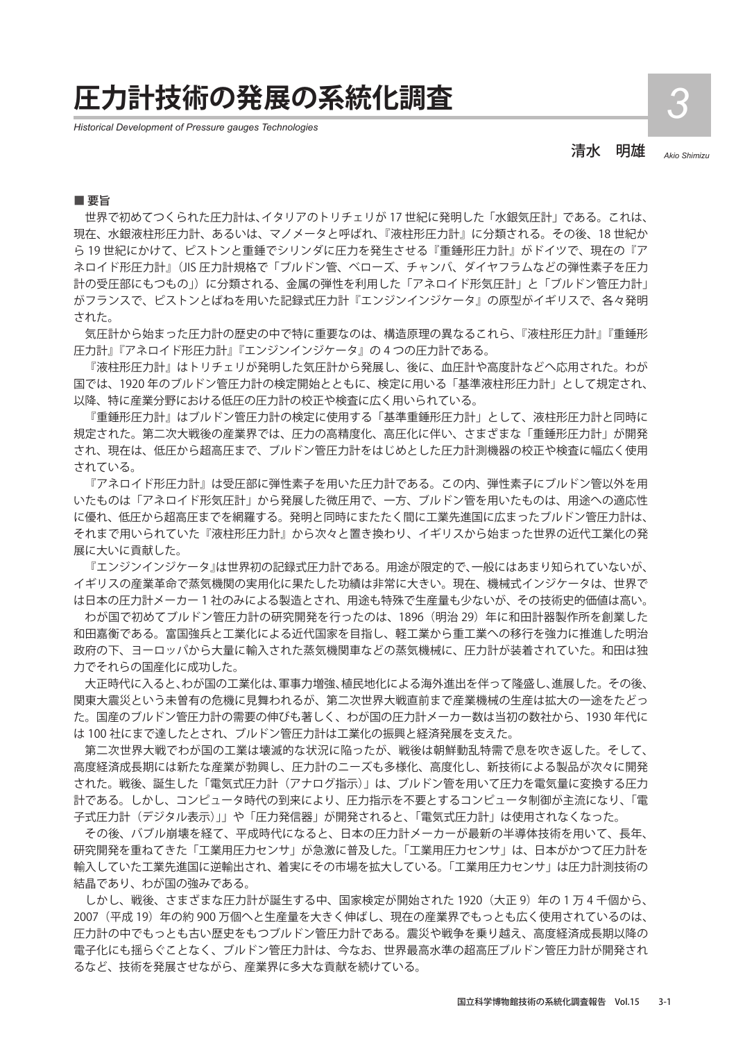## **圧力計技術の発展の系統化調査** *3*

*Historical Development of Pressure gauges Technologies*

清水 明雄 *Akio Shimizu*

■ 要旨

世界で初めてつくられた圧力計は、イタリアのトリチェリが 17 世紀に発明した「水銀気圧計」である。これは、 現在、水銀液柱形圧力計、あるいは、マノメータと呼ばれ、『液柱形圧力計』に分類される。その後、18 世紀か ら 19 世紀にかけて、ピストンと重錘でシリンダに圧力を発生させる『重錘形圧力計』がドイツで、現在の『ア ネロイド形圧力計』(JIS 圧力計規格で「ブルドン管、ベローズ、チャンバ、ダイヤフラムなどの弾性素子を圧力 計の受圧部にもつもの」)に分類される、金属の弾性を利用した「アネロイド形気圧計」と「ブルドン管圧力計」 がフランスで、ピストンとばねを用いた記録式圧力計『エンジンインジケータ』の原型がイギリスで、各々発明 された。

気圧計から始まった圧力計の歴史の中で特に重要なのは、構造原理の異なるこれら、『液柱形圧力計』『重錘形 圧力計』『アネロイド形圧力計』『エンジンインジケータ』の 4 つの圧力計である。

『液柱形圧力計』はトリチェリが発明した気圧計から発展し、後に、血圧計や高度計などへ応用された。わが 国では、1920 年のブルドン管圧力計の検定開始とともに、検定に用いる「基準液柱形圧力計」として規定され、 以降、特に産業分野における低圧の圧力計の校正や検査に広く用いられている。

『重錘形圧力計』はブルドン管圧力計の検定に使用する「基準重錘形圧力計」として、液柱形圧力計と同時に 規定された。第二次大戦後の産業界では、圧力の高精度化、高圧化に伴い、さまざまな「重錘形圧力計」が開発 され、現在は、低圧から超高圧まで、ブルドン管圧力計をはじめとした圧力計測機器の校正や検査に幅広く使用 されている。

『アネロイド形圧力計』は受圧部に弾性素子を用いた圧力計である。この内、弾性素子にブルドン管以外を用 いたものは「アネロイド形気圧計」から発展した微圧用で、一方、ブルドン管を用いたものは、用途への適応性 に優れ、低圧から超高圧までを網羅する。発明と同時にまたたく間に工業先進国に広まったブルドン管圧力計は、 それまで用いられていた『液柱形圧力計』から次々と置き換わり、イギリスから始まった世界の近代工業化の発 展に大いに貢献した。

『エンジンインジケータ』は世界初の記録式圧力計である。用途が限定的で、一般にはあまり知られていないが、 イギリスの産業革命で蒸気機関の実用化に果たした功績は非常に大きい。現在、機械式インジケータは、世界で は日本の圧力計メーカー 1 社のみによる製造とされ、用途も特殊で生産量も少ないが、その技術史的価値は高い。

わが国で初めてブルドン管圧力計の研究開発を行ったのは、1896 (明治 29) 年に和田計器製作所を創業した 和田嘉衡である。富国強兵と工業化による近代国家を目指し、軽工業から重工業への移行を強力に推進した明治 政府の下、ヨーロッパから大量に輸入された蒸気機関車などの蒸気機械に、圧力計が装着されていた。和田は独 力でそれらの国産化に成功した。

大正時代に入ると、わが国の工業化は、軍事力増強、植民地化による海外進出を伴って隆盛し、進展した。その後、 関東大震災という未曽有の危機に見舞われるが、第二次世界大戦直前まで産業機械の生産は拡大の一途をたどっ た。国産のブルドン管圧力計の需要の伸びも著しく、わが国の圧力計メーカー数は当初の数社から、1930 年代に は 100 社にまで達したとされ、ブルドン管圧力計は工業化の振興と経済発展を支えた。

第二次世界大戦でわが国の工業は壊滅的な状況に陥ったが、戦後は朝鮮動乱特需で息を吹き返した。そして、 高度経済成長期には新たな産業が勃興し、圧力計のニーズも多様化、高度化し、新技術による製品が次々に開発 された。戦後、誕生した「電気式圧力計(アナログ指示)」は、ブルドン管を用いて圧力を電気量に変換する圧力 計である。しかし、コンピュータ時代の到来により、圧力指示を不要とするコンピュータ制御が主流になり、「電 子式圧力計(デジタル表示)」」や「圧力発信器」が開発されると、「電気式圧力計」は使用されなくなった。

その後、バブル崩壊を経て、平成時代になると、日本の圧力計メーカーが最新の半導体技術を用いて、長年、 研究開発を重ねてきた「工業用圧力センサ」が急激に普及した。「工業用圧力センサ」は、日本がかつて圧力計を 輸入していた工業先進国に逆輸出され、着実にその市場を拡大している。「工業用圧力センサ」は圧力計測技術の 結晶であり、わが国の強みである。

しかし、戦後、さまざまな圧力計が誕生する中、国家検定が開始された 1920 (大正 9)年の1万4千個から、 2007 (平成 19) 年の約 900 万個へと生産量を大きく伸ばし、現在の産業界でもっとも広く使用されているのは、 圧力計の中でもっとも古い歴史をもつブルドン管圧力計である。震災や戦争を乗り越え、高度経済成長期以降の 電子化にも揺らぐことなく、ブルドン管圧力計は、今なお、世界最高水準の超高圧ブルドン管圧力計が開発され るなど、技術を発展させながら、産業界に多大な貢献を続けている。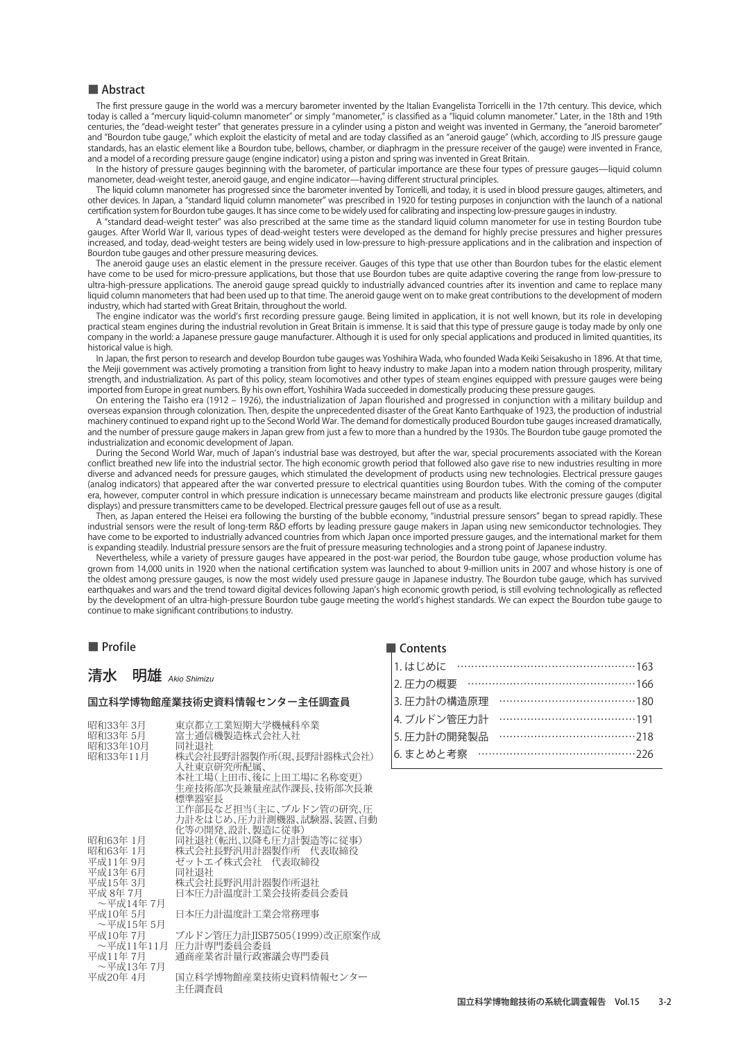The first pressure gauge in the world was a mercury barometer invented by the Italian Evangelista Torricelli in the 17th century. This device, which today is called a "mercury liquid-column manometer" or simply "manometer," is classified as a "liquid column manometer." Later, in the 18th and 19th centuries, the "dead-weight tester" that generates pressure in a cylinder using a piston and weight was invented in Germany, the "aneroid barometer" and "Bourdon tube gauge," which exploit the elasticity of metal and are today classified as an "aneroid gauge" (which, according to JIS pressure gauge standards, has an elastic element like a Bourdon tube, bellows, chamber, or diaphragm in the pressure receiver of the gauge) were invented in France, and a model of a recording pressure gauge (engine indicator) using a piston and spring was invented in Great Britain.

In the history of pressure gauges beginning with the barometer, of particular importance are these four types of pressure gauges—liquid column manometer, dead-weight tester, aneroid gauge, and engine indicator—having different structural principles.

The liquid column manometer has progressed since the barometer invented by Torricelli, and today, it is used in blood pressure gauges, altimeters, and other devices. In Japan, a "standard liquid column manometer" was prescribed in 1920 for testing purposes in conjunction with the launch of a national certification system for Bourdon tube gauges. It has since come to be widely used for calibrating and inspecting low-pressure gauges in industry.

A "standard dead-weight tester" was also prescribed at the same time as the standard liquid column manometer for use in testing Bourdon tube gauges. After World War II, various types of dead-weight testers were developed as the demand for highly precise pressures and higher pressures increased, and today, dead-weight testers are being widely used in low-pressure to high-pressure applications and in the calibration and inspection of Bourdon tube gauges and other pressure measuring devices.

The aneroid gauge uses an elastic element in the pressure receiver. Gauges of this type that use other than Bourdon tubes for the elastic element have come to be used for micro-pressure applications, but those that use Bourdon tubes are quite adaptive covering the range from low-pressure to ultra-high-pressure applications. The aneroid gauge spread quickly to industrially advanced countries after its invention and came to replace many liquid column manometers that had been used up to that time. The aneroid gauge went on to make great contributions to the development of modern industry, which had started with Great Britain, throughout the world.

assiy, whet had stated win creat shant, anoaghout the world.<br>The engine indicator was the world's first recording pressure gauge. Being limited in application, it is not well known, but its role in developing practical steam engines during the industrial revolution in Great Britain is immense. It is said that this type of pressure gauge is today made by only one company in the world: a Japanese pressure gauge manufacturer. Although it is used for only special applications and produced in limited quantities, its historical value is high.

In Japan, the first person to research and develop Bourdon tube gauges was Yoshihira Wada, who founded Wada Keiki Seisakusho in 1896. At that time, the Meiji government was actively promoting a transition from light to heavy industry to make Japan into a modern nation through prosperity, military strength, and industrialization. As part of this policy, steam locomotives and other types of steam engines equipped with pressure gauges were being imported from Europe in great numbers. By his own effort, Yoshihira Wada succeeded in domestically producing these pressure gauges.

On entering the Taisho era (1912 – 1926), the industrialization of Japan flourished and progressed in conjunction with a military buildup and overseas expansion through colonization. Then, despite the unprecedented disaster of the Great Kanto Earthquake of 1923, the production of industrial machinery continued to expand right up to the Second World War. The demand for domestically produced Bourdon tube gauges increased dramatically, and the number of pressure gauge makers in Japan grew from just a few to more than a hundred by the 1930s. The Bourdon tube gauge promoted the industrialization and economic development of Japan.

assimin adont and centume develpment or supan.<br>During the Second World War, much of Japan's industrial base was destroyed, but after the war, special procurements associated with the Korean conflict breathed new life into the industrial sector. The high economic growth period that followed also gave rise to new industries resulting in more diverse and advanced needs for pressure gauges, which stimulated the development of products using new technologies. Electrical pressure gauges (analog indicators) that appeared after the war converted pressure to electrical quantities using Bourdon tubes. With the coming of the computer era, however, computer control in which pressure indication is unnecessary became mainstream and products like electronic pressure gauges (digital displays) and pressure transmitters came to be developed. Electrical pressure gauges fell out of use as a result.

Then, as Japan entered the Heisei era following the bursting of the bubble economy, "industrial pressure sensors" began to spread rapidly. These industrial sensors were the result of long-term R&D efforts by leading pressure gauge makers in Japan using new semiconductor technologies. They have come to be exported to industrially advanced countries from which Japan once imported pressure gauges, and the international market for them is expanding steadily. Industrial pressure sensors are the fruit of pressure measuring technologies and a strong point of Japanese industry.

Nevertheless, while a variety of pressure gauges have appeared in the post-war period, the Bourdon tube gauge, whose production volume has grown from 14,000 units in 1920 when the national certification system was launched to about 9-million units in 2007 and whose history is one of the oldest among pressure gauges, is now the most widely used pressure gauge in Japanese industry. The Bourdon tube gauge, which has survived earthquakes and wars and the trend toward digital devices following Japan, s high economic growth period, is still evolving technologically as reflected entinguated and was and the tiend covard digital devices following supars high ceditions growth pence, is still croning cerminogically as renecced<br>by the development of an ultra-high-pressure Bourdon tube gauge meeting the continue to make significant contributions to industry.

### ■ Profile

## 清水 明雄 *Akio Shimizu*

#### 国立科学博物館産業技術史資料情報センター主任調査員

| 昭和33年 3月<br>昭和33年 5月<br>昭和33年10月 | 東京都立工業短期大学機械科卒業<br>富十通信機製造株式会社入社<br>同社退社                             |
|----------------------------------|----------------------------------------------------------------------|
| 昭和33年11月                         | 株式会社長野計器製作所(現、長野計器株式会社)<br>入社東京研究所配属、                                |
|                                  | 本社工場(上田市、後に上田工場に名称変更)<br>生産技術部次長兼量産試作課長、技術部次長兼<br>標準器室長              |
|                                  | 工作部長など担当(主に、ブルドン管の研究、圧<br>力計をはじめ、圧力計測機器、試験器、装置、自動<br>化等の開発、設計、製造に従事) |
| 昭和63年 1月                         | 同社退社(転出、以降も圧力計製造等に従事)                                                |
| 昭和63年 1月                         | 株式会社長野汎用計器製作所 代表取締役                                                  |
| 平成11年 9月                         | ゼットエイ株式会社 代表取締役                                                      |
| 平成13年6月                          | 同社退社                                                                 |
| 平成15年3月                          | 株式会社長野汎用計器製作所退社                                                      |
| 平成 8年 7月                         | 日本圧力計温度計工業会技術委員会委員                                                   |
| ~平成14年 7月                        |                                                                      |
| 平成10年 5月                         | 日本圧力計温度計工業会常務理事                                                      |
| ~平成15年 5月                        |                                                                      |
| 平成10年 7月                         | ブルドン管圧力計JISB7505(1999)改正原案作成                                         |
| ~平成11年11月                        | 圧力計専門委員会委員                                                           |
| 平成11年 7月                         | 通商産業省計量行政審議会専門委員                                                     |
| ~平成13年 7月                        |                                                                      |
| 平成20年 4月                         | 国立科学博物館産業技術史資料情報センター<br>主任調査員                                        |

| 1.はじめに ……………………………………………163  |  |
|------------------------------|--|
| 2. 圧力の概要 …………………………………………166 |  |
| 3. 圧力計の構造原理                  |  |
| 4. ブルドン管圧力計                  |  |
| 5. 圧力計の開発製品 …………………………………218 |  |
|                              |  |
|                              |  |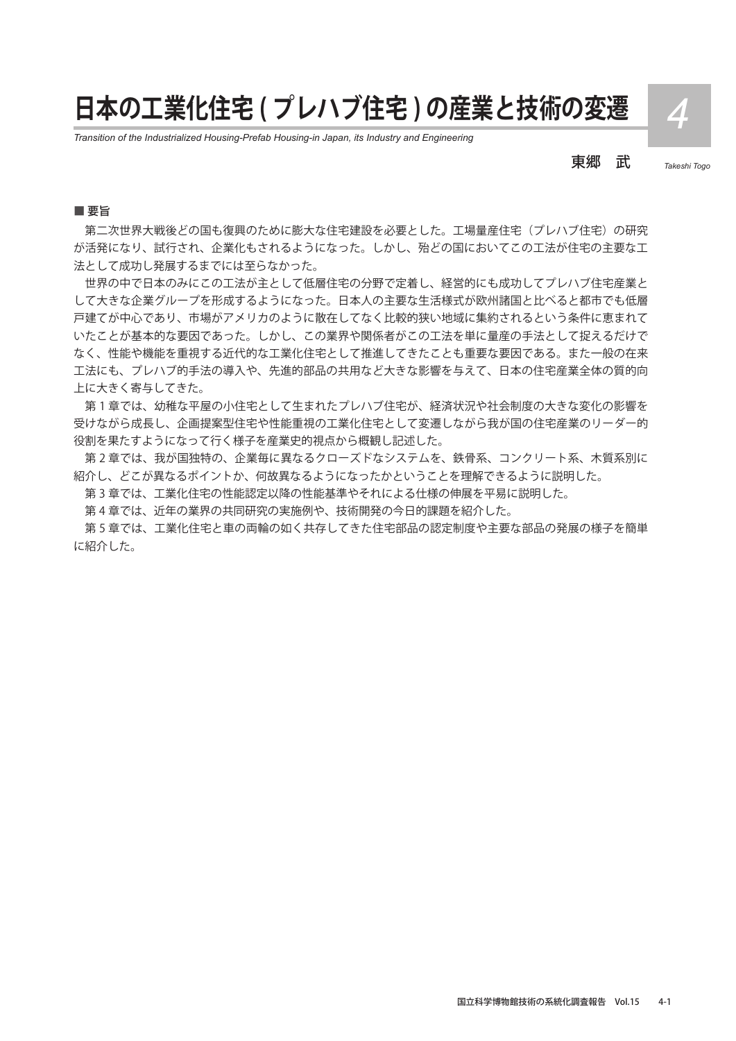# **日本の工業化住宅 ( プレハブ住宅 ) の産業と技術の変遷** *4*

*Transition of the Industrialized Housing-Prefab Housing-in Japan, its Industry and Engineering*

東郷 武 *Takeshi Togo*

#### ■ 要旨

第二次世界大戦後どの国も復興のために膨大な住宅建設を必要とした。工場量産住宅(プレハブ住宅)の研究 が活発になり、試行され、企業化もされるようになった。しかし、殆どの国においてこの工法が住宅の主要な工 法として成功し発展するまでには至らなかった。

世界の中で日本のみにこの工法が主として低層住宅の分野で定着し、経営的にも成功してプレハブ住宅産業と して大きな企業グループを形成するようになった。日本人の主要な生活様式が欧州諸国と比べると都市でも低層 戸建てが中心であり、市場がアメリカのように散在してなく比較的狭い地域に集約されるという条件に恵まれて いたことが基本的な要因であった。しかし、この業界や関係者がこの工法を単に量産の手法として捉えるだけで なく、性能や機能を重視する近代的な工業化住宅として推進してきたことも重要な要因である。また一般の在来 工法にも、プレハブ的手法の導入や、先進的部品の共用など大きな影響を与えて、日本の住宅産業全体の質的向 上に大きく寄与してきた。

第 1 章では、幼稚な平屋の小住宅として生まれたプレハブ住宅が、経済状況や社会制度の大きな変化の影響を 受けながら成長し、企画提案型住宅や性能重視の工業化住宅として変遷しながら我が国の住宅産業のリーダー的 役割を果たすようになって行く様子を産業史的視点から概観し記述した。

第 2 章では、我が国独特の、企業毎に異なるクローズドなシステムを、鉄骨系、コンクリート系、木質系別に 紹介し、どこが異なるポイントか、何故異なるようになったかということを理解できるように説明した。

第 3 章では、工業化住宅の性能認定以降の性能基準やそれによる仕様の伸展を平易に説明した。

第 4 章では、近年の業界の共同研究の実施例や、技術開発の今日的課題を紹介した。

第 5 章では、工業化住宅と車の両輪の如く共存してきた住宅部品の認定制度や主要な部品の発展の様子を簡単 に紹介した。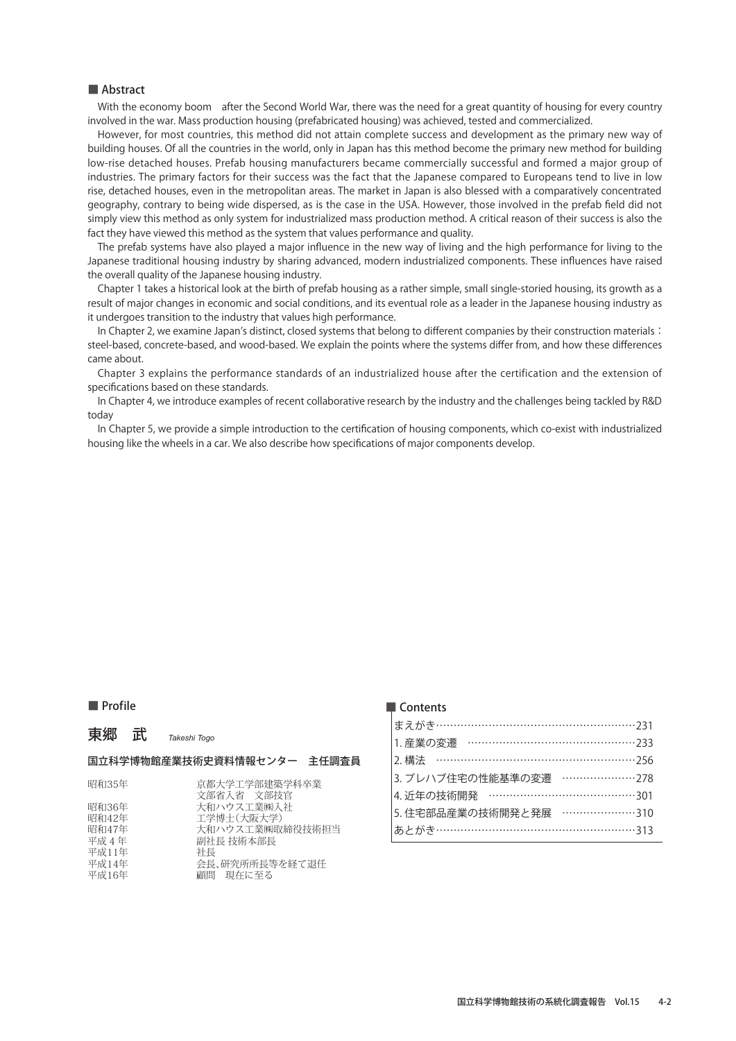With the economy boom after the Second World War, there was the need for a great quantity of housing for every country involved in the war. Mass production housing (prefabricated housing) was achieved, tested and commercialized.

However, for most countries, this method did not attain complete success and development as the primary new way of building houses. Of all the countries in the world, only in Japan has this method become the primary new method for building low-rise detached houses. Prefab housing manufacturers became commercially successful and formed a major group of industries. The primary factors for their success was the fact that the Japanese compared to Europeans tend to live in low rise, detached houses, even in the metropolitan areas. The market in Japan is also blessed with a comparatively concentrated geography, contrary to being wide dispersed, as is the case in the USA. However, those involved in the prefab field did not simply view this method as only system for industrialized mass production method. A critical reason of their success is also the fact they have viewed this method as the system that values performance and quality.

The prefab systems have also played a major influence in the new way of living and the high performance for living to the Japanese traditional housing industry by sharing advanced, modern industrialized components. These influences have raised the overall quality of the Japanese housing industry.

Chapter 1 takes a historical look at the birth of prefab housing as a rather simple, small single-storied housing, its growth as a result of major changes in economic and social conditions, and its eventual role as a leader in the Japanese housing industry as it undergoes transition to the industry that values high performance.

In Chapter 2, we examine Japan's distinct, closed systems that belong to different companies by their construction materials: steel-based, concrete-based, and wood-based. We explain the points where the systems differ from, and how these differences came about.

Chapter 3 explains the performance standards of an industrialized house after the certification and the extension of specifications based on these standards.

In Chapter 4, we introduce examples of recent collaborative research by the industry and the challenges being tackled by R&D today

In Chapter 5, we provide a simple introduction to the certification of housing components, which co-exist with industrialized housing like the wheels in a car. We also describe how specifications of major components develop.

#### ■ Profile

東郷 武 *Takeshi Togo*

## 国立科学博物館産業技術史資料情報センター 主任調査員

| 昭和35年 | 京都大学工学部建築学科卒業   |
|-------|-----------------|
|       | 文部省入省 文部技官      |
| 昭和36年 | 大和ハウス工業㈱入社      |
| 昭和42年 | 工学博士(大阪大学)      |
| 昭和47年 | 大和ハウス工業㈱取締役技術担当 |
| 平成 4年 | 副社長 技術本部長       |
| 平成11年 | 社長              |
| 平成14年 | 会長、研究所所長等を経て退任  |
| 平成16年 | 顧問 現在に至る        |

| 1. 産業の変遷 …………………………………………233 |  |
|------------------------------|--|
|                              |  |
| 3. プレハブ住宅の性能基準の変遷 …………………278 |  |
|                              |  |
| 5. 住宅部品産業の技術開発と発展 …………………310 |  |
| あとがき…………………………………………………313   |  |
|                              |  |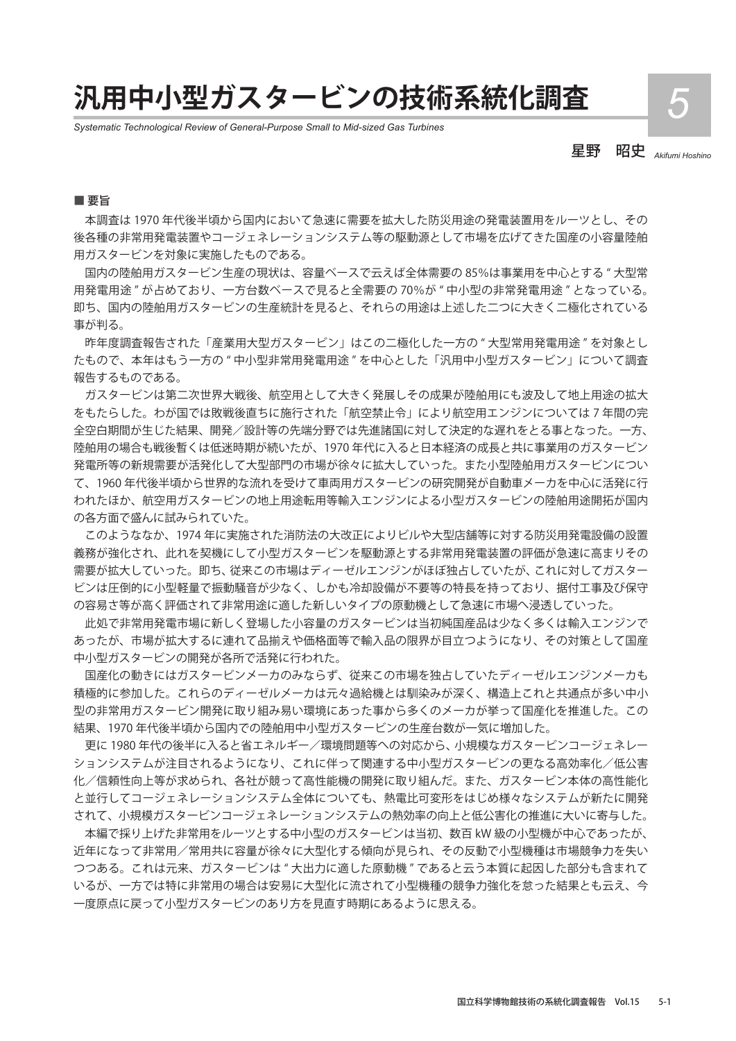## **汎用中小型ガスタービンの技術系統化調査** *5*

*Systematic Technological Review of General-Purpose Small to Mid-sized Gas Turbines*

星野 昭史 *Akifumi Hoshino*

#### ■ 要旨

本調査は 1970 年代後半頃から国内において急速に需要を拡大した防災用途の発電装置用をルーツとし、その 後各種の非常用発電装置やコージェネレーションシステム等の駆動源として市場を広げてきた国産の小容量陸舶 用ガスタービンを対象に実施したものである。

国内の陸舶用ガスタービン生産の現状は、容量ベースで云えば全体需要の 85%は事業用を中心とする " 大型常 用発電用途 " が占めており、一方台数ベースで見ると全需要の 70%が " 中小型の非常発電用途 " となっている。 即ち、国内の陸舶用ガスタービンの生産統計を見ると、それらの用途は上述した二つに大きく二極化されている 事が判る。

昨年度調査報告された「産業用大型ガスタービン」はこの二極化した一方の " 大型常用発電用途 " を対象とし たもので、本年はもう一方の " 中小型非常用発電用途 " を中心とした「汎用中小型ガスタービン」について調査 報告するものである。

ガスタービンは第二次世界大戦後、航空用として大きく発展しその成果が陸舶用にも波及して地上用途の拡大 をもたらした。わが国では敗戦後直ちに施行された「航空禁止令」により航空用エンジンについては 7 年間の完 全空白期間が生じた結果、開発/設計等の先端分野では先進諸国に対して決定的な遅れをとる事となった。一方、 陸舶用の場合も戦後暫くは低迷時期が続いたが、1970 年代に入ると日本経済の成長と共に事業用のガスタービン 発電所等の新規需要が活発化して大型部門の市場が徐々に拡大していった。また小型陸舶用ガスタービンについ て、1960 年代後半頃から世界的な流れを受けて車両用ガスタービンの研究開発が自動車メーカを中心に活発に行 われたほか、航空用ガスタービンの地上用途転用等輸入エンジンによる小型ガスタービンの陸舶用途開拓が国内 の各方面で盛んに試みられていた。

このようななか、1974 年に実施された消防法の大改正によりビルや大型店舗等に対する防災用発電設備の設置 義務が強化され、此れを契機にして小型ガスタービンを駆動源とする非常用発電装置の評価が急速に高まりその 需要が拡大していった。即ち、従来この市場はディーゼルエンジンがほぼ独占していたが、これに対してガスター ビンは圧倒的に小型軽量で振動騒音が少なく、しかも冷却設備が不要等の特長を持っており、据付工事及び保守 の容易さ等が高く評価されて非常用途に適した新しいタイプの原動機として急速に市場へ浸透していった。

此処で非常用発電市場に新しく登場した小容量のガスタービンは当初純国産品は少なく多くは輸入エンジンで あったが、市場が拡大するに連れて品揃えや価格面等で輸入品の限界が目立つようになり、その対策として国産 中小型ガスタービンの開発が各所で活発に行われた。

国産化の動きにはガスタービンメーカのみならず、従来この市場を独占していたディーゼルエンジンメーカも 積極的に参加した。これらのディーゼルメーカは元々過給機とは馴染みが深く、構造上これと共通点が多い中小 型の非常用ガスタービン開発に取り組み易い環境にあった事から多くのメーカが挙って国産化を推進した。この 結果、1970 年代後半頃から国内での陸舶用中小型ガスタービンの生産台数が一気に増加した。

更に 1980 年代の後半に入ると省エネルギー/環境問題等への対応から、小規模なガスタービンコージェネレー ションシステムが注目されるようになり、これに伴って関連する中小型ガスタービンの更なる高効率化/低公害 化/信頼性向上等が求められ、各社が競って高性能機の開発に取り組んだ。また、ガスタービン本体の高性能化 と並行してコージェネレーションシステム全体についても、熱電比可変形をはじめ様々なシステムが新たに開発 されて、小規模ガスタービンコージェネレーションシステムの熱効率の向上と低公害化の推進に大いに寄与した。

本編で採り上げた非常用をルーツとする中小型のガスタービンは当初、数百 kW 級の小型機が中心であったが、 近年になって非常用/常用共に容量が徐々に大型化する傾向が見られ、その反動で小型機種は市場競争力を失い つつある。これは元来、ガスタービンは " 大出力に適した原動機 " であると云う本質に起因した部分も含まれて いるが、一方では特に非常用の場合は安易に大型化に流されて小型機種の競争力強化を怠った結果とも云え、今 一度原点に戻って小型ガスタービンのあり方を見直す時期にあるように思える。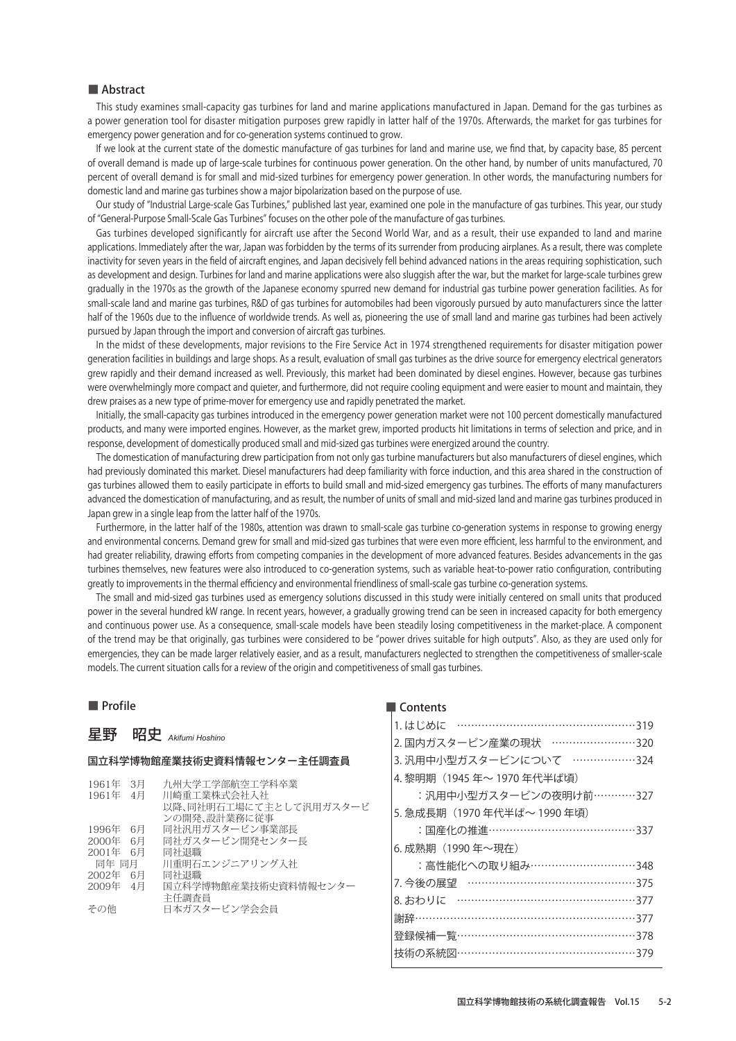This study examines small-capacity gas turbines for land and marine applications manufactured in Japan. Demand for the gas turbines as a power generation tool for disaster mitigation purposes grew rapidly in latter half of the 1970s. Afterwards, the market for gas turbines for emergency power generation and for co-generation systems continued to grow.

If we look at the current state of the domestic manufacture of gas turbines for land and marine use, we find that, by capacity base, 85 percent of overall demand is made up of large-scale turbines for continuous power generation. On the other hand, by number of units manufactured, 70 percent of overall demand is for small and mid-sized turbines for emergency power generation. In other words, the manufacturing numbers for domestic land and marine gas turbines show a major bipolarization based on the purpose of use.

Our study of "Industrial Large-scale Gas Turbines," published last year, examined one pole in the manufacture of gas turbines. This year, our study of "General-Purpose Small-Scale Gas Turbines" focuses on the other pole of the manufacture of gas turbines.

Gas turbines developed significantly for aircraft use after the Second World War, and as a result, their use expanded to land and marine applications. Immediately after the war, Japan was forbidden by the terms of its surrender from producing airplanes. As a result, there was complete inactivity for seven years in the field of aircraft engines, and Japan decisively fell behind advanced nations in the areas requiring sophistication, such as development and design. Turbines for land and marine applications were also sluggish after the war, but the market for large-scale turbines grew gradually in the 1970s as the growth of the Japanese economy spurred new demand for industrial gas turbine power generation facilities. As for small-scale land and marine gas turbines, R&D of gas turbines for automobiles had been vigorously pursued by auto manufacturers since the latter half of the 1960s due to the influence of worldwide trends. As well as, pioneering the use of small land and marine gas turbines had been actively pursued by Japan through the import and conversion of aircraft gas turbines.

In the midst of these developments, major revisions to the Fire Service Act in 1974 strengthened requirements for disaster mitigation power generation facilities in buildings and large shops. As a result, evaluation of small gas turbines as the drive source for emergency electrical generators grew rapidly and their demand increased as well. Previously, this market had been dominated by diesel engines. However, because gas turbines were overwhelmingly more compact and quieter, and furthermore, did not require cooling equipment and were easier to mount and maintain, they drew praises as a new type of prime-mover for emergency use and rapidly penetrated the market.

Initially, the small-capacity gas turbines introduced in the emergency power generation market were not 100 percent domestically manufactured products, and many were imported engines. However, as the market grew, imported products hit limitations in terms of selection and price, and in response, development of domestically produced small and mid-sized gas turbines were energized around the country.

The domestication of manufacturing drew participation from not only gas turbine manufacturers but also manufacturers of diesel engines, which had previously dominated this market. Diesel manufacturers had deep familiarity with force induction, and this area shared in the construction of gas turbines allowed them to easily participate in efforts to build small and mid-sized emergency gas turbines. The efforts of many manufacturers advanced the domestication of manufacturing, and as result, the number of units of small and mid-sized land and marine gas turbines produced in Japan grew in a single leap from the latter half of the 1970s.

Furthermore, in the latter half of the 1980s, attention was drawn to small-scale gas turbine co-generation systems in response to growing energy and environmental concerns. Demand grew for small and mid-sized gas turbines that were even more efficient, less harmful to the environment, and had greater reliability, drawing efforts from competing companies in the development of more advanced features. Besides advancements in the gas turbines themselves, new features were also introduced to co-generation systems, such as variable heat-to-power ratio configuration, contributing greatly to improvements in the thermal efficiency and environmental friendliness of small-scale gas turbine co-generation systems.

The small and mid-sized gas turbines used as emergency solutions discussed in this study were initially centered on small units that produced power in the several hundred kW range. In recent years, however, a gradually growing trend can be seen in increased capacity for both emergency and continuous power use. As a consequence, small-scale models have been steadily losing competitiveness in the market-place. A component of the trend may be that originally, gas turbines were considered to be "power drives suitable for high outputs". Also, as they are used only for emergencies, they can be made larger relatively easier, and as a result, manufacturers neglected to strengthen the competitiveness of smaller-scale models. The current situation calls for a review of the origin and competitiveness of small gas turbines.

#### ■ Profile

## 星野 昭史 *Akifumi Hoshino*

## 国立科学博物館産業技術史資料情報センター主任調査員

| 1961年 | 3月   | 九州大学工学部航空工学科卒業         |
|-------|------|------------------------|
| 1961年 | - 4月 | 川崎重工業株式会社入社            |
|       |      | 以降、同社明石工場にて主として汎用ガスタービ |
|       |      | ンの開発、設計業務に従事           |
| 1996年 | 6月   | 同社汎用ガスタービン事業部長         |
| 2000年 | - 6月 | 同社ガスタービン開発センター長        |
| 2001年 | 6月   | 同社退職                   |
| 同年 同月 |      | 川重明石エンジニアリング入社         |
| 2002年 | 6月   | 同社退職                   |
| 2009年 | - 4月 | 国立科学博物館産業技術史資料情報センター   |
|       |      | 主任調査員                  |
| その他   |      | 日本ガスタービン学会会員           |
|       |      |                        |
|       |      |                        |

| 2. 国内ガスタービン産業の現状 ……………………320 |
|------------------------------|
| 3. 汎用中小型ガスタービンについて ………………324 |
| 4. 黎明期(1945 年〜 1970 年代半ば頃)   |
| :汎用中小型ガスタービンの夜明け前…………327     |
| 5. 急成長期(1970 年代半ば〜 1990 年頃)  |
| :国産化の推進……………………………………337     |
| 6. 成熟期 (1990年~現在)            |
| :高性能化への取り組み…………………………348     |
| 7. 今後の展望 …………………………………………375 |
| 8. おわりに ……………………………………………377 |
| 謝辞………………………………………………………377   |
| 登録候補一覧……………………………………………378   |
| 技術の系統図……………………………………………379   |
|                              |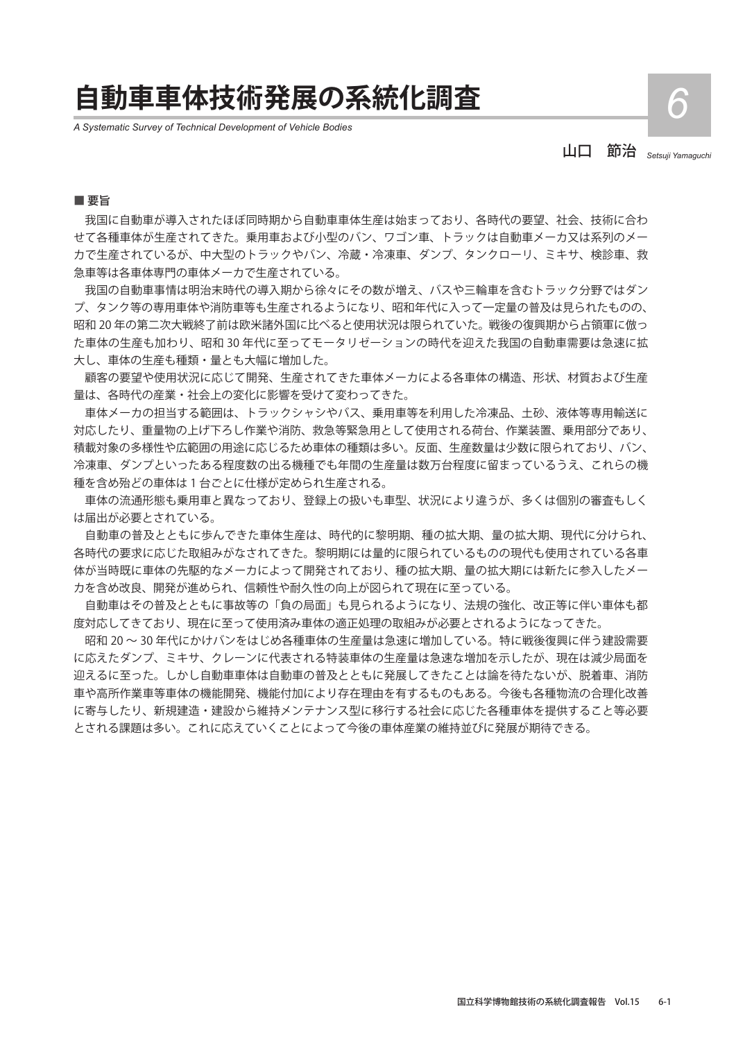## **自動車車体技術発展の系統化調査** *6*

*A Systematic Survey of Technical Development of Vehicle Bodies*

山口 節治 *Setsuji Yamaguchi*

#### ■ 要旨

我国に自動車が導入されたほぼ同時期から自動車車体生産は始まっており、各時代の要望、社会、技術に合わ せて各種車体が生産されてきた。乗用車および小型のバン、ワゴン車、トラックは自動車メーカ又は系列のメー カで生産されているが、中大型のトラックやバン、冷蔵・冷凍車、ダンプ、タンクローリ、ミキサ、検診車、救 急車等は各車体専門の車体メーカで生産されている。

我国の自動車事情は明治末時代の導入期から徐々にその数が増え、バスや三輪車を含むトラック分野ではダン プ、タンク等の専用車体や消防車等も生産されるようになり、昭和年代に入って一定量の普及は見られたものの、 昭和 20 年の第二次大戦終了前は欧米諸外国に比べると使用状況は限られていた。戦後の復興期から占領軍に倣っ た車体の生産も加わり、昭和 30 年代に至ってモータリゼーションの時代を迎えた我国の自動車需要は急速に拡 大し、車体の生産も種類・量とも大幅に増加した。

顧客の要望や使用状況に応じて開発、生産されてきた車体メーカによる各車体の構造、形状、材質および生産 量は、各時代の産業・社会上の変化に影響を受けて変わってきた。

車体メーカの担当する範囲は、トラックシャシやバス、乗用車等を利用した冷凍品、土砂、液体等専用輸送に 対応したり、重量物の上げ下ろし作業や消防、救急等緊急用として使用される荷台、作業装置、乗用部分であり、 積載対象の多様性や広範囲の用途に応じるため車体の種類は多い。反面、生産数量は少数に限られており、バン、 冷凍車、ダンプといったある程度数の出る機種でも年間の生産量は数万台程度に留まっているうえ、これらの機 種を含め殆どの車体は 1 台ごとに仕様が定められ生産される。

車体の流通形態も乗用車と異なっており、登録上の扱いも車型、状況により違うが、多くは個別の審査もしく は届出が必要とされている。

自動車の普及とともに歩んできた車体生産は、時代的に黎明期、種の拡大期、量の拡大期、現代に分けられ、 各時代の要求に応じた取組みがなされてきた。黎明期には量的に限られているものの現代も使用されている各車 体が当時既に車体の先駆的なメーカによって開発されており、種の拡大期、量の拡大期には新たに参入したメー カを含め改良、開発が進められ、信頼性や耐久性の向上が図られて現在に至っている。

自動車はその普及とともに事故等の「負の局面」も見られるようになり、法規の強化、改正等に伴い車体も都 度対応してきており、現在に至って使用済み車体の適正処理の取組みが必要とされるようになってきた。

昭和 20 〜 30 年代にかけバンをはじめ各種車体の生産量は急速に増加している。特に戦後復興に伴う建設需要 に応えたダンプ、ミキサ、クレーンに代表される特装車体の生産量は急速な増加を示したが、現在は減少局面を 迎えるに至った。しかし自動車車体は自動車の普及とともに発展してきたことは論を待たないが、脱着車、消防 車や高所作業車等車体の機能開発、機能付加により存在理由を有するものもある。今後も各種物流の合理化改善 に寄与したり、新規建造・建設から維持メンテナンス型に移行する社会に応じた各種車体を提供すること等必要 とされる課題は多い。これに応えていくことによって今後の車体産業の維持並びに発展が期待できる。